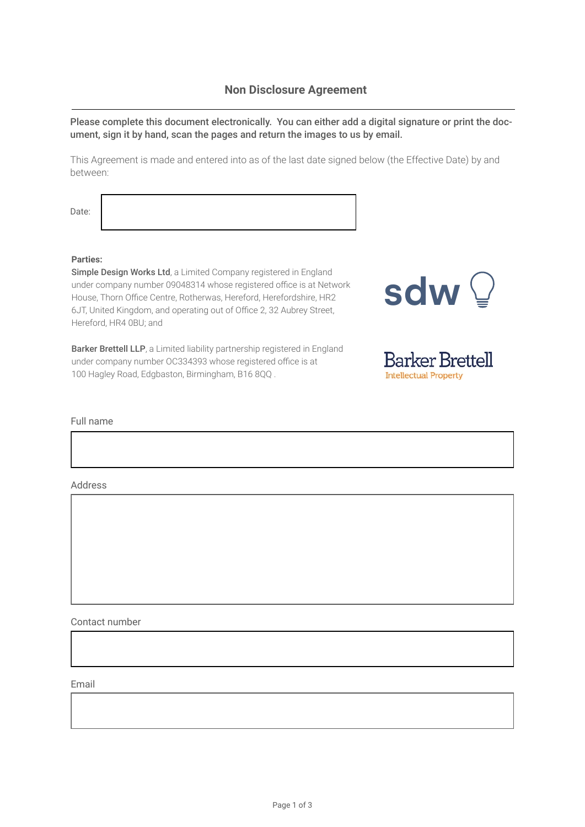## **Non Disclosure Agreement**

Please complete this document electronically. You can either add a digital signature or print the document, sign it by hand, scan the pages and return the images to us by email.

This Agreement is made and entered into as of the last date signed below (the Effective Date) by and between:

Date:

## **Parties:**

Simple Design Works Ltd, a Limited Company registered in England under company number 09048314 whose registered office is at Network House, Thorn Office Centre, Rotherwas, Hereford, Herefordshire, HR2 6JT, United Kingdom, and operating out of Office 2, 32 Aubrey Street, Hereford, HR4 0BU; and

Barker Brettell LLP, a Limited liability partnership registered in England under company number OC334393 whose registered office is at 100 Hagley Road, Edgbaston, Birmingham, B16 8QQ .



**Barker Brettell Intellectual Property** 

Full name

Address

Contact number

Email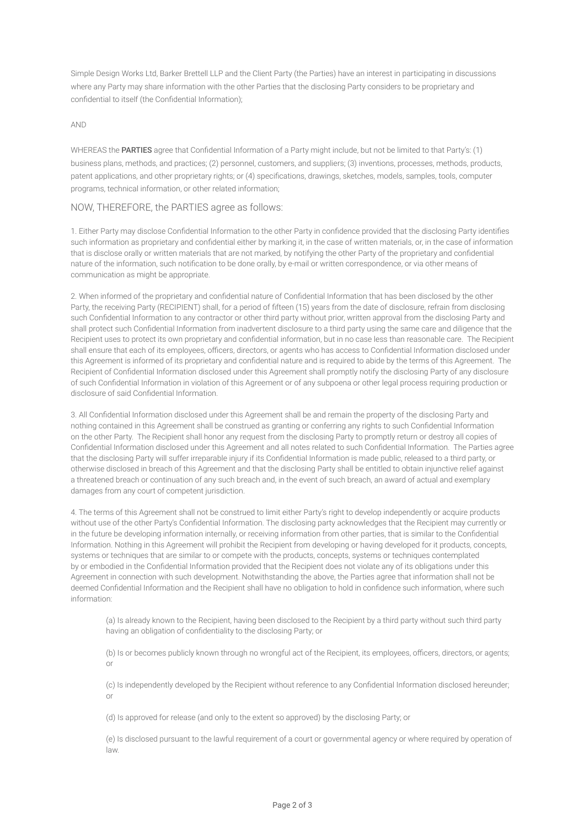Simple Design Works Ltd, Barker Brettell LLP and the Client Party (the Parties) have an interest in participating in discussions where any Party may share information with the other Parties that the disclosing Party considers to be proprietary and confidential to itself (the Confidential Information);

AND

WHEREAS the PARTIES agree that Confidential Information of a Party might include, but not be limited to that Party's: (1) business plans, methods, and practices; (2) personnel, customers, and suppliers; (3) inventions, processes, methods, products, patent applications, and other proprietary rights; or (4) specifications, drawings, sketches, models, samples, tools, computer programs, technical information, or other related information;

## NOW, THEREFORE, the PARTIES agree as follows:

1. Either Party may disclose Confidential Information to the other Party in confidence provided that the disclosing Party identifies such information as proprietary and confidential either by marking it, in the case of written materials, or, in the case of information that is disclose orally or written materials that are not marked, by notifying the other Party of the proprietary and confidential nature of the information, such notification to be done orally, by e-mail or written correspondence, or via other means of communication as might be appropriate.

2. When informed of the proprietary and confidential nature of Confidential Information that has been disclosed by the other Party, the receiving Party (RECIPIENT) shall, for a period of fifteen (15) years from the date of disclosure, refrain from disclosing such Confidential Information to any contractor or other third party without prior, written approval from the disclosing Party and shall protect such Confidential Information from inadvertent disclosure to a third party using the same care and diligence that the Recipient uses to protect its own proprietary and confidential information, but in no case less than reasonable care. The Recipient shall ensure that each of its employees, officers, directors, or agents who has access to Confidential Information disclosed under this Agreement is informed of its proprietary and confidential nature and is required to abide by the terms of this Agreement. The Recipient of Confidential Information disclosed under this Agreement shall promptly notify the disclosing Party of any disclosure of such Confidential Information in violation of this Agreement or of any subpoena or other legal process requiring production or disclosure of said Confidential Information.

3. All Confidential Information disclosed under this Agreement shall be and remain the property of the disclosing Party and nothing contained in this Agreement shall be construed as granting or conferring any rights to such Confidential Information on the other Party. The Recipient shall honor any request from the disclosing Party to promptly return or destroy all copies of Confidential Information disclosed under this Agreement and all notes related to such Confidential Information. The Parties agree that the disclosing Party will suffer irreparable injury if its Confidential Information is made public, released to a third party, or otherwise disclosed in breach of this Agreement and that the disclosing Party shall be entitled to obtain injunctive relief against a threatened breach or continuation of any such breach and, in the event of such breach, an award of actual and exemplary damages from any court of competent jurisdiction.

4. The terms of this Agreement shall not be construed to limit either Party's right to develop independently or acquire products without use of the other Party's Confidential Information. The disclosing party acknowledges that the Recipient may currently or in the future be developing information internally, or receiving information from other parties, that is similar to the Confidential Information. Nothing in this Agreement will prohibit the Recipient from developing or having developed for it products, concepts, systems or techniques that are similar to or compete with the products, concepts, systems or techniques contemplated by or embodied in the Confidential Information provided that the Recipient does not violate any of its obligations under this Agreement in connection with such development. Notwithstanding the above, the Parties agree that information shall not be deemed Confidential Information and the Recipient shall have no obligation to hold in confidence such information, where such information:

(a) Is already known to the Recipient, having been disclosed to the Recipient by a third party without such third party having an obligation of confidentiality to the disclosing Party; or

(b) Is or becomes publicly known through no wrongful act of the Recipient, its employees, officers, directors, or agents; or

(c) Is independently developed by the Recipient without reference to any Confidential Information disclosed hereunder; or

(d) Is approved for release (and only to the extent so approved) by the disclosing Party; or

(e) Is disclosed pursuant to the lawful requirement of a court or governmental agency or where required by operation of law.